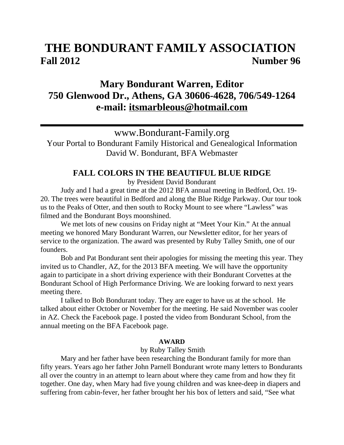# **THE BONDURANT FAMILY ASSOCIATION Fall 2012 Number 96**

## **Mary Bondurant Warren, Editor 750 Glenwood Dr., Athens, GA 30606-4628, 706/549-1264 e-mail: itsmarbleous@hotmail.com**

### www.Bondurant-Family.org

Your Portal to Bondurant Family Historical and Genealogical Information David W. Bondurant, BFA Webmaster

#### **FALL COLORS IN THE BEAUTIFUL BLUE RIDGE**

by President David Bondurant

Judy and I had a great time at the 2012 BFA annual meeting in Bedford, Oct. 19- 20. The trees were beautiful in Bedford and along the Blue Ridge Parkway. Our tour took us to the Peaks of Otter, and then south to Rocky Mount to see where "Lawless" was filmed and the Bondurant Boys moonshined.

We met lots of new cousins on Friday night at "Meet Your Kin." At the annual meeting we honored Mary Bondurant Warren, our Newsletter editor, for her years of service to the organization. The award was presented by Ruby Talley Smith, one of our founders.

Bob and Pat Bondurant sent their apologies for missing the meeting this year. They invited us to Chandler, AZ, for the 2013 BFA meeting. We will have the opportunity again to participate in a short driving experience with their Bondurant Corvettes at the Bondurant School of High Performance Driving. We are looking forward to next years meeting there.

I talked to Bob Bondurant today. They are eager to have us at the school. He talked about either October or November for the meeting. He said November was cooler in AZ. Check the Facebook page. I posted the video from Bondurant School, from the annual meeting on the BFA Facebook page.

#### **AWARD**

#### by Ruby Talley Smith

Mary and her father have been researching the Bondurant family for more than fifty years. Years ago her father John Parnell Bondurant wrote many letters to Bondurants all over the country in an attempt to learn about where they came from and how they fit together. One day, when Mary had five young children and was knee-deep in diapers and suffering from cabin-fever, her father brought her his box of letters and said, "See what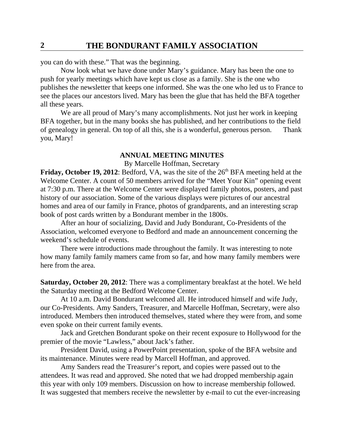you can do with these." That was the beginning.

Now look what we have done under Mary's guidance. Mary has been the one to push for yearly meetings which have kept us close as a family. She is the one who publishes the newsletter that keeps one informed. She was the one who led us to France to see the places our ancestors lived. Mary has been the glue that has held the BFA together all these years.

We are all proud of Mary's many accomplishments. Not just her work in keeping BFA together, but in the many books she has published, and her contributions to the field of genealogy in general. On top of all this, she is a wonderful, generous person. Thank you, Mary!

#### **ANNUAL MEETING MINUTES**

By Marcelle Hoffman, Secretary

**Friday, October 19, 2012:** Bedford, VA, was the site of the  $26<sup>th</sup>$  BFA meeting held at the Welcome Center. A count of 50 members arrived for the "Meet Your Kin" opening event at 7:30 p.m. There at the Welcome Center were displayed family photos, posters, and past history of our association. Some of the various displays were pictures of our ancestral homes and area of our family in France, photos of grandparents, and an interesting scrap book of post cards written by a Bondurant member in the 1800s.

After an hour of socializing, David and Judy Bondurant, Co-Presidents of the Association, welcomed everyone to Bedford and made an announcement concerning the weekend's schedule of events.

There were introductions made throughout the family. It was interesting to note how many family family mamers came from so far, and how many family members were here from the area.

**Saturday, October 20, 2012**: There was a complimentary breakfast at the hotel. We held the Saturday meeting at the Bedford Welcome Center.

At 10 a.m. David Bondurant welcomed all. He introduced himself and wife Judy, our Co-Presidents. Amy Sanders, Treasurer, and Marcelle Hoffman, Secretary, were also introduced. Members then introduced themselves, stated where they were from, and some even spoke on their current family events.

Jack and Gretchen Bondurant spoke on their recent exposure to Hollywood for the premier of the movie "Lawless," about Jack's father.

President David, using a PowerPoint presentation, spoke of the BFA website and its maintenance. Minutes were read by Marcell Hoffman, and approved.

Amy Sanders read the Treasurer's report, and copies were passed out to the attendees. It was read and approved. She noted that we had dropped membership again this year with only 109 members. Discussion on how to increase membership followed. It was suggested that members receive the newsletter by e-mail to cut the ever-increasing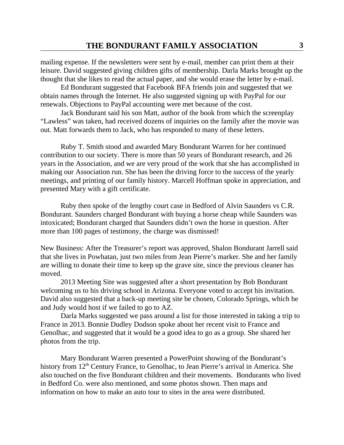mailing expense. If the newsletters were sent by e-mail, member can print them at their leisure. David suggested giving children gifts of membership. Darla Marks brought up the thought that she likes to read the actual paper, and she would erase the letter by e-mail.

Ed Bondurant suggested that Facebook BFA friends join and suggested that we obtain names through the Internet. He also suggested signing up with PayPal for our renewals. Objections to PayPal accounting were met because of the cost.

Jack Bondurant said his son Matt, author of the book from which the screenplay "Lawless" was taken, had received dozens of inquiries on the family after the movie was out. Matt forwards them to Jack, who has responded to many of these letters.

Ruby T. Smith stood and awarded Mary Bondurant Warren for her continued contribution to our society. There is more than 50 years of Bondurant research, and 26 years in the Association, and we are very proud of the work that she has accomplished in making our Association run. She has been the driving force to the success of the yearly meetings, and printing of our family history. Marcell Hoffman spoke in appreciation, and presented Mary with a gift certificate.

Ruby then spoke of the lengthy court case in Bedford of Alvin Saunders vs C.R. Bondurant. Saunders charged Bondurant with buying a horse cheap while Saunders was intoxicated; Bondurant charged that Saunders didn't own the horse in question. After more than 100 pages of testimony, the charge was dismissed!

New Business: After the Treasurer's report was approved, Shalon Bondurant Jarrell said that she lives in Powhatan, just two miles from Jean Pierre's marker. She and her family are willing to donate their time to keep up the grave site, since the previous cleaner has moved.

2013 Meeting Site was suggested after a short presentation by Bob Bondurant welcoming us to his driving school in Arizona. Everyone voted to accept his invitation. David also suggested that a back-up meeting site be chosen, Colorado Springs, which he and Judy would host if we failed to go to AZ.

Darla Marks suggested we pass around a list for those interested in taking a trip to France in 2013. Bonnie Dudley Dodson spoke about her recent visit to France and Genolhac, and suggested that it would be a good idea to go as a group. She shared her photos from the trip.

Mary Bondurant Warren presented a PowerPoint showing of the Bondurant's history from 12<sup>th</sup> Century France, to Genolhac, to Jean Pierre's arrival in America. She also touched on the five Bondurant children and their movements. Bondurants who lived in Bedford Co. were also mentioned, and some photos shown. Then maps and information on how to make an auto tour to sites in the area were distributed.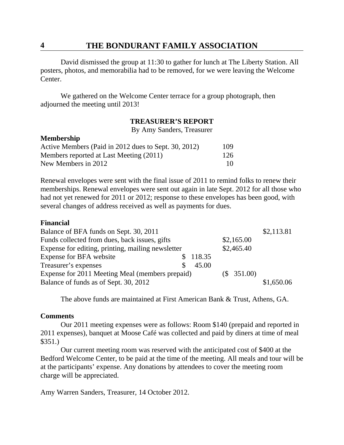David dismissed the group at 11:30 to gather for lunch at The Liberty Station. All posters, photos, and memorabilia had to be removed, for we were leaving the Welcome Center.

We gathered on the Welcome Center terrace for a group photograph, then adjourned the meeting until 2013!

#### **TREASURER'S REPORT**

By Amy Sanders, Treasurer

#### **Membership**

| Active Members (Paid in 2012 dues to Sept. 30, 2012) | 109 |
|------------------------------------------------------|-----|
| Members reported at Last Meeting (2011)              | 126 |
| New Members in 2012                                  | 10  |

Renewal envelopes were sent with the final issue of 2011 to remind folks to renew their memberships. Renewal envelopes were sent out again in late Sept. 2012 for all those who had not yet renewed for 2011 or 2012; response to these envelopes has been good, with several changes of address received as well as payments for dues.

#### **Financial**

| Balance of BFA funds on Sept. 30, 2011            |              |  | \$2,113.81 |
|---------------------------------------------------|--------------|--|------------|
| Funds collected from dues, back issues, gifts     | \$2,165.00   |  |            |
| Expense for editing, printing, mailing newsletter | \$2,465.40   |  |            |
| Expense for BFA website                           | 118.35       |  |            |
| Treasurer's expenses                              | 45.00<br>\$. |  |            |
| Expense for 2011 Meeting Meal (members prepaid)   | (\$351.00)   |  |            |
| Balance of funds as of Sept. 30, 2012             |              |  | \$1,650.06 |

The above funds are maintained at First American Bank & Trust, Athens, GA.

#### **Comments**

Our 2011 meeting expenses were as follows: Room \$140 (prepaid and reported in 2011 expenses), banquet at Moose Café was collected and paid by diners at time of meal \$351.)

Our current meeting room was reserved with the anticipated cost of \$400 at the Bedford Welcome Center, to be paid at the time of the meeting. All meals and tour will be at the participants' expense. Any donations by attendees to cover the meeting room charge will be appreciated.

Amy Warren Sanders, Treasurer, 14 October 2012.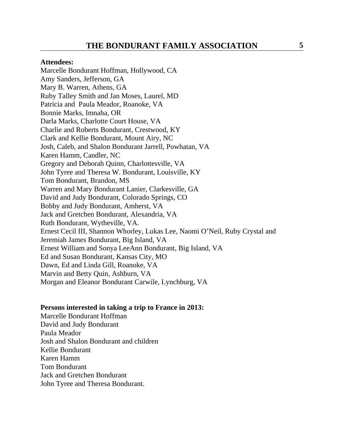#### **Attendees:**

Marcelle Bondurant Hoffman, Hollywood, CA Amy Sanders, Jefferson, GA Mary B. Warren, Athens, GA Ruby Talley Smith and Jan Moses, Laurel, MD Patricia and Paula Meador, Roanoke, VA Bonnie Marks, Imnaha, OR Darla Marks, Charlotte Court House, VA Charlie and Roberts Bondurant, Crestwood, KY Clark and Kellie Bondurant, Mount Airy, NC Josh, Caleb, and Shalon Bondurant Jarrell, Powhatan, VA Karen Hamm, Candler, NC Gregory and Deborah Quinn, Charlottesville, VA John Tyree and Theresa W. Bondurant, Louisville, KY Tom Bondurant, Brandon, MS Warren and Mary Bondurant Lanier, Clarkesville, GA David and Judy Bondurant, Colorado Springs, CO Bobby and Judy Bondurant, Amherst, VA Jack and Gretchen Bondurant, Alexandria, VA Ruth Bondurant, Wytheville, VA. Ernest Cecil III, Shannon Whorley, Lukas Lee, Naomi O'Neil, Ruby Crystal and Jeremiah James Bondurant, Big Island, VA Ernest William and Sonya LeeAnn Bondurant, Big Island, VA Ed and Susan Bondurant, Kansas City, MO Dawn, Ed and Linda Gill, Roanoke, VA Marvin and Betty Quin, Ashburn, VA Morgan and Eleanor Bondurant Carwile, Lynchburg, VA

#### **Persons interested in taking a trip to France in 2013:**

Marcelle Bondurant Hoffman David and Judy Bondurant Paula Meador Josh and Shalon Bondurant and children Kellie Bondurant Karen Hamm Tom Bondurant Jack and Gretchen Bondurant John Tyree and Theresa Bondurant.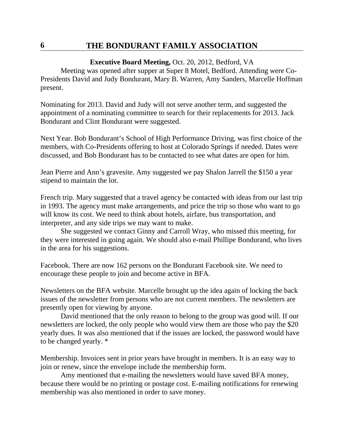**Executive Board Meeting,** Oct. 20, 2012, Bedford, VA

Meeting was opened after supper at Super 8 Motel, Bedford. Attending were Co-Presidents David and Judy Bondurant, Mary B. Warren, Amy Sanders, Marcelle Hoffman present.

Nominating for 2013. David and Judy will not serve another term, and suggested the appointment of a nominating committee to search for their replacements for 2013. Jack Bondurant and Clint Bondurant were suggested.

Next Year. Bob Bondurant's School of High Performance Driving, was first choice of the members, with Co-Presidents offering to host at Colorado Springs if needed. Dates were discussed, and Bob Bondurant has to be contacted to see what dates are open for him.

Jean Pierre and Ann's gravesite. Amy suggested we pay Shalon Jarrell the \$150 a year stipend to maintain the lot.

French trip. Mary suggested that a travel agency be contacted with ideas from our last trip in 1993. The agency must make arrangements, and price the trip so those who want to go will know its cost. We need to think about hotels, airfare, bus transportation, and interpreter, and any side trips we may want to make.

She suggested we contact Ginny and Carroll Wray, who missed this meeting, for they were interested in going again. We should also e-mail Phillipe Bondurand, who lives in the area for his suggestions.

Facebook. There are now 162 persons on the Bondurant Facebook site. We need to encourage these people to join and become active in BFA.

Newsletters on the BFA website. Marcelle brought up the idea again of locking the back issues of the newsletter from persons who are not current members. The newsletters are presently open for viewing by anyone.

David mentioned that the only reason to belong to the group was good will. If our newsletters are locked, the only people who would view them are those who pay the \$20 yearly dues. It was also mentioned that if the issues are locked, the password would have to be changed yearly. \*

Membership. Invoices sent in prior years have brought in members. It is an easy way to join or renew, since the envelope include the membership form.

Amy mentioned that e-mailing the newsletters would have saved BFA money, because there would be no printing or postage cost. E-mailing notifications for renewing membership was also mentioned in order to save money.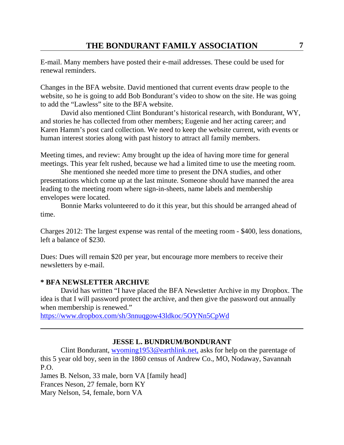E-mail. Many members have posted their e-mail addresses. These could be used for renewal reminders.

Changes in the BFA website. David mentioned that current events draw people to the website, so he is going to add Bob Bondurant's video to show on the site. He was going to add the "Lawless" site to the BFA website.

David also mentioned Clint Bondurant's historical research, with Bondurant, WY, and stories he has collected from other members; Eugenie and her acting career; and Karen Hamm's post card collection. We need to keep the website current, with events or human interest stories along with past history to attract all family members.

Meeting times, and review: Amy brought up the idea of having more time for general meetings. This year felt rushed, because we had a limited time to use the meeting room.

She mentioned she needed more time to present the DNA studies, and other presentations which come up at the last minute. Someone should have manned the area leading to the meeting room where sign-in-sheets, name labels and membership envelopes were located.

Bonnie Marks volunteered to do it this year, but this should be arranged ahead of time.

Charges 2012: The largest expense was rental of the meeting room - \$400, less donations, left a balance of \$230.

Dues: Dues will remain \$20 per year, but encourage more members to receive their newsletters by e-mail.

### **\* BFA NEWSLETTER ARCHIVE**

David has written "I have placed the BFA Newsletter Archive in my Dropbox. The idea is that I will password protect the archive, and then give the password out annually when membership is renewed."

https://www.dropbox.com/sh/3nnuqgow43ldkoc/5OYNn5CpWd

### **JESSE L. BUNDRUM/BONDURANT**

Clint Bondurant, wyoming1953@earthlink.net, asks for help on the parentage of this 5 year old boy, seen in the 1860 census of Andrew Co., MO, Nodaway, Savannah P.O. James B. Nelson, 33 male, born VA [family head]

Frances Neson, 27 female, born KY

Mary Nelson, 54, female, born VA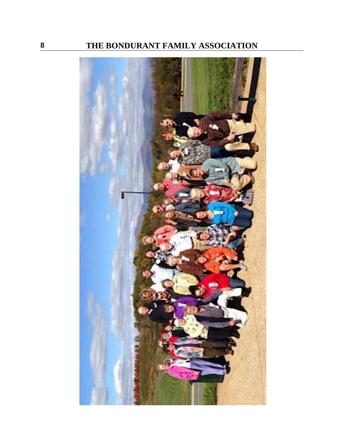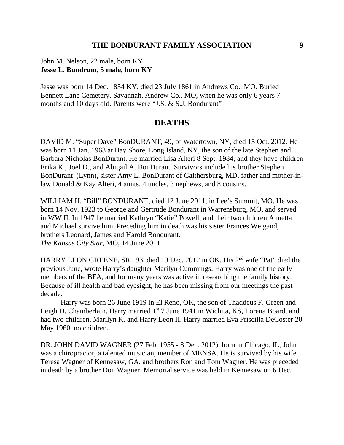#### John M. Nelson, 22 male, born KY **Jesse L. Bundrum, 5 male, born KY**

Jesse was born 14 Dec. 1854 KY, died 23 July 1861 in Andrews Co., MO. Buried Bennett Lane Cemetery, Savannah, Andrew Co., MO, when he was only 6 years 7 months and 10 days old. Parents were "J.S. & S.J. Bondurant"

#### **DEATHS**

DAVID M. "Super Dave" BonDURANT, 49, of Watertown, NY, died 15 Oct. 2012. He was born 11 Jan. 1963 at Bay Shore, Long Island, NY, the son of the late Stephen and Barbara Nicholas BonDurant. He married Lisa Alteri 8 Sept. 1984, and they have children Erika K., Joel D., and Abigail A. BonDurant. Survivors include his brother Stephen BonDurant (Lynn), sister Amy L. BonDurant of Gaithersburg, MD, father and mother-inlaw Donald & Kay Alteri, 4 aunts, 4 uncles, 3 nephews, and 8 cousins.

WILLIAM H. "Bill" BONDURANT, died 12 June 2011, in Lee's Summit, MO. He was born 14 Nov. 1923 to George and Gertrude Bondurant in Warrensburg, MO, and served in WW II. In 1947 he married Kathryn "Katie" Powell, and their two children Annetta and Michael survive him. Preceding him in death was his sister Frances Weigand, brothers Leonard, James and Harold Bondurant. *The Kansas City Star*, MO, 14 June 2011

HARRY LEON GREENE, SR., 93, died 19 Dec. 2012 in OK. His 2nd wife "Pat" died the previous June, wrote Harry's daughter Marilyn Cummings. Harry was one of the early members of the BFA, and for many years was active in researching the family history. Because of ill health and bad eyesight, he has been missing from our meetings the past decade.

Harry was born 26 June 1919 in El Reno, OK, the son of Thaddeus F. Green and Leigh D. Chamberlain. Harry married  $1<sup>st</sup>$  7 June 1941 in Wichita, KS, Lorena Board, and had two children, Marilyn K, and Harry Leon II. Harry married Eva Priscilla DeCoster 20 May 1960, no children.

DR. JOHN DAVID WAGNER (27 Feb. 1955 - 3 Dec. 2012), born in Chicago, IL, John was a chiropractor, a talented musician, member of MENSA. He is survived by his wife Teresa Wagner of Kennesaw, GA, and brothers Ron and Tom Wagner. He was preceded in death by a brother Don Wagner. Memorial service was held in Kennesaw on 6 Dec.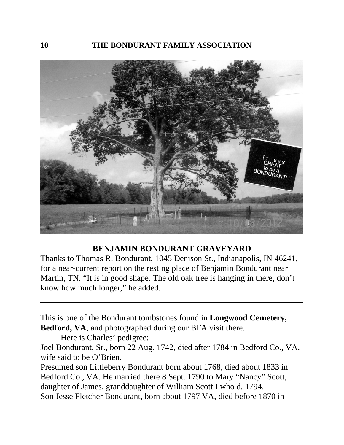

### **BENJAMIN BONDURANT GRAVEYARD**

Thanks to Thomas R. Bondurant, 1045 Denison St., Indianapolis, IN 46241, for a near-current report on the resting place of Benjamin Bondurant near Martin, TN. "It is in good shape. The old oak tree is hanging in there, don't know how much longer," he added.

This is one of the Bondurant tombstones found in **Longwood Cemetery, Bedford, VA**, and photographed during our BFA visit there.

Here is Charles' pedigree:

Joel Bondurant, Sr., born 22 Aug. 1742, died after 1784 in Bedford Co., VA, wife said to be O'Brien.

Presumed son Littleberry Bondurant born about 1768, died about 1833 in Bedford Co., VA. He married there 8 Sept. 1790 to Mary "Nancy" Scott, daughter of James, granddaughter of William Scott I who d. 1794. Son Jesse Fletcher Bondurant, born about 1797 VA, died before 1870 in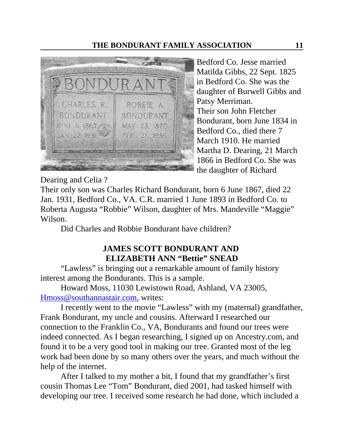

Bedford Co. Jesse married Matilda Gibbs, 22 Sept. 1825 in Bedford Co. She was the daughter of Burwell Gibbs and Patsy Merriman. Their son John Fletcher Bondurant, born June 1834 in Bedford Co., died there 7 March 1910. He married Martha D. Dearing, 21 March 1866 in Bedford Co. She was the daughter of Richard

## Dearing and Celia ?

Their only son was Charles Richard Bondurant, born 6 June 1867, died 22 Jan. 1931, Bedford Co., VA. C.R. married 1 June 1893 in Bedford Co. to Roberta Augusta "Robbie" Wilson, daughter of Mrs. Mandeville "Maggie" Wilson.

Did Charles and Robbie Bondurant have children?

## **JAMES SCOTT BONDURANT AND ELIZABETH ANN "Bettie" SNEAD**

"Lawless" is bringing out a remarkable amount of family history interest among the Bondurants. This is a sample.

Howard Moss, 11030 Lewistown Road, Ashland, VA 23005, Hmoss@southannastair.com, writes:

I recently went to the movie "Lawless" with my (maternal) grandfather, Frank Bondurant, my uncle and cousins. Afterward I researched our connection to the Franklin Co., VA, Bondurants and found our trees were indeed connected. As I began researching, I signed up on Ancestry.com, and found it to be a very good tool in making our tree. Granted most of the leg work had been done by so many others over the years, and much without the help of the internet.

After I talked to my mother a bit, I found that my grandfather's first cousin Thomas Lee "Tom" Bondurant, died 2001, had tasked himself with developing our tree. I received some research he had done, which included a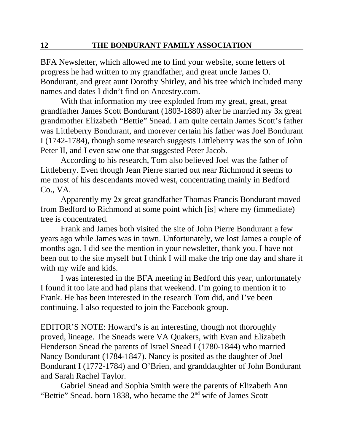BFA Newsletter, which allowed me to find your website, some letters of progress he had written to my grandfather, and great uncle James O. Bondurant, and great aunt Dorothy Shirley, and his tree which included many names and dates I didn't find on Ancestry.com.

With that information my tree exploded from my great, great, great grandfather James Scott Bondurant (1803-1880) after he married my 3x great grandmother Elizabeth "Bettie" Snead. I am quite certain James Scott's father was Littleberry Bondurant, and morever certain his father was Joel Bondurant I (1742-1784), though some research suggests Littleberry was the son of John Peter II, and I even saw one that suggested Peter Jacob.

According to his research, Tom also believed Joel was the father of Littleberry. Even though Jean Pierre started out near Richmond it seems to me most of his descendants moved west, concentrating mainly in Bedford Co., VA.

Apparently my 2x great grandfather Thomas Francis Bondurant moved from Bedford to Richmond at some point which [is] where my (immediate) tree is concentrated.

Frank and James both visited the site of John Pierre Bondurant a few years ago while James was in town. Unfortunately, we lost James a couple of months ago. I did see the mention in your newsletter, thank you. I have not been out to the site myself but I think I will make the trip one day and share it with my wife and kids.

I was interested in the BFA meeting in Bedford this year, unfortunately I found it too late and had plans that weekend. I'm going to mention it to Frank. He has been interested in the research Tom did, and I've been continuing. I also requested to join the Facebook group.

EDITOR'S NOTE: Howard's is an interesting, though not thoroughly proved, lineage. The Sneads were VA Quakers, with Evan and Elizabeth Henderson Snead the parents of Israel Snead I (1780-1844) who married Nancy Bondurant (1784-1847). Nancy is posited as the daughter of Joel Bondurant I (1772-1784) and O'Brien, and granddaughter of John Bondurant and Sarah Rachel Taylor.

Gabriel Snead and Sophia Smith were the parents of Elizabeth Ann "Bettie" Snead, born 1838, who became the  $2<sup>nd</sup>$  wife of James Scott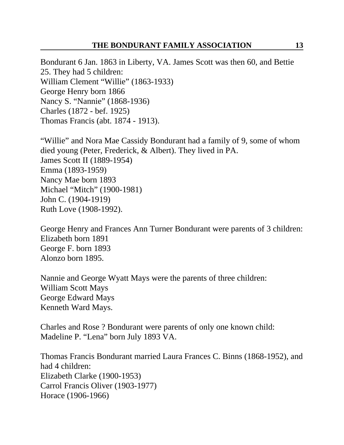Bondurant 6 Jan. 1863 in Liberty, VA. James Scott was then 60, and Bettie 25. They had 5 children: William Clement "Willie" (1863-1933) George Henry born 1866 Nancy S. "Nannie" (1868-1936) Charles (1872 - bef. 1925) Thomas Francis (abt. 1874 - 1913).

"Willie" and Nora Mae Cassidy Bondurant had a family of 9, some of whom died young (Peter, Frederick, & Albert). They lived in PA. James Scott II (1889-1954) Emma (1893-1959) Nancy Mae born 1893 Michael "Mitch" (1900-1981) John C. (1904-1919) Ruth Love (1908-1992).

George Henry and Frances Ann Turner Bondurant were parents of 3 children: Elizabeth born 1891 George F. born 1893 Alonzo born 1895.

Nannie and George Wyatt Mays were the parents of three children: William Scott Mays George Edward Mays Kenneth Ward Mays.

Charles and Rose ? Bondurant were parents of only one known child: Madeline P. "Lena" born July 1893 VA.

Thomas Francis Bondurant married Laura Frances C. Binns (1868-1952), and had 4 children: Elizabeth Clarke (1900-1953) Carrol Francis Oliver (1903-1977) Horace (1906-1966)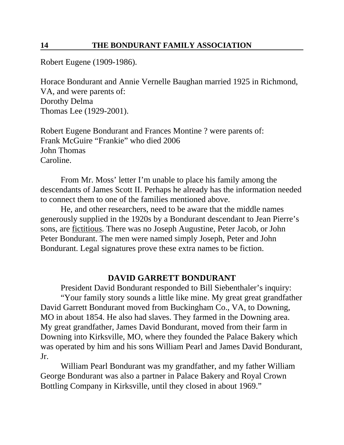Robert Eugene (1909-1986).

Horace Bondurant and Annie Vernelle Baughan married 1925 in Richmond, VA, and were parents of: Dorothy Delma Thomas Lee (1929-2001).

Robert Eugene Bondurant and Frances Montine ? were parents of: Frank McGuire "Frankie" who died 2006 John Thomas Caroline.

From Mr. Moss' letter I'm unable to place his family among the descendants of James Scott II. Perhaps he already has the information needed to connect them to one of the families mentioned above.

He, and other researchers, need to be aware that the middle names generously supplied in the 1920s by a Bondurant descendant to Jean Pierre's sons, are fictitious. There was no Joseph Augustine, Peter Jacob, or John Peter Bondurant. The men were named simply Joseph, Peter and John Bondurant. Legal signatures prove these extra names to be fiction.

#### **DAVID GARRETT BONDURANT**

President David Bondurant responded to Bill Siebenthaler's inquiry: "Your family story sounds a little like mine. My great great grandfather David Garrett Bondurant moved from Buckingham Co., VA, to Downing, MO in about 1854. He also had slaves. They farmed in the Downing area. My great grandfather, James David Bondurant, moved from their farm in Downing into Kirksville, MO, where they founded the Palace Bakery which was operated by him and his sons William Pearl and James David Bondurant, Jr.

William Pearl Bondurant was my grandfather, and my father William George Bondurant was also a partner in Palace Bakery and Royal Crown Bottling Company in Kirksville, until they closed in about 1969."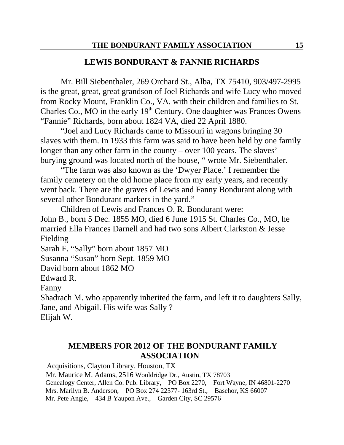#### **LEWIS BONDURANT & FANNIE RICHARDS**

Mr. Bill Siebenthaler, 269 Orchard St., Alba, TX 75410, 903/497-2995 is the great, great, great grandson of Joel Richards and wife Lucy who moved from Rocky Mount, Franklin Co., VA, with their children and families to St. Charles Co., MO in the early  $19<sup>th</sup>$  Century. One daughter was Frances Owens "Fannie" Richards, born about 1824 VA, died 22 April 1880.

"Joel and Lucy Richards came to Missouri in wagons bringing 30 slaves with them. In 1933 this farm was said to have been held by one family longer than any other farm in the county – over 100 years. The slaves' burying ground was located north of the house, " wrote Mr. Siebenthaler.

"The farm was also known as the 'Dwyer Place.' I remember the family cemetery on the old home place from my early years, and recently went back. There are the graves of Lewis and Fanny Bondurant along with several other Bondurant markers in the yard."

Children of Lewis and Frances O. R. Bondurant were: John B., born 5 Dec. 1855 MO, died 6 June 1915 St. Charles Co., MO, he married Ella Frances Darnell and had two sons Albert Clarkston & Jesse Fielding Sarah F. "Sally" born about 1857 MO Susanna "Susan" born Sept. 1859 MO David born about 1862 MO Edward R. Fanny Shadrach M. who apparently inherited the farm, and left it to daughters Sally, Jane, and Abigail. His wife was Sally ? Elijah W.

## **MEMBERS FOR 2012 OF THE BONDURANT FAMILY ASSOCIATION**

 Acquisitions, Clayton Library, Houston, TX Mr. Maurice M. Adams, 2516 Wooldridge Dr., Austin, TX 78703 Genealogy Center, Allen Co. Pub. Library, PO Box 2270, Fort Wayne, IN 46801-2270 Mrs. Marilyn B. Anderson, PO Box 274 22377- 163rd St., Basehor, KS 66007 Mr. Pete Angle, 434 B Yaupon Ave., Garden City, SC 29576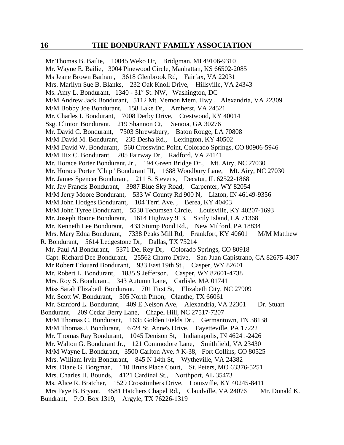Mr Thomas B. Bailie, 10045 Weko Dr, Bridgman, MI 49106-9310 Mr. Wayne E. Bailie, 3004 Pinewood Circle, Manhattan, KS 66502-2085 Ms Jeane Brown Barham, 3618 Glenbrook Rd, Fairfax, VA 22031 Mrs. Marilyn Sue B. Blanks, 232 Oak Knoll Drive, Hillsville, VA 24343 Ms. Amy L. Bondurant, 1340 - 31<sup>st</sup> St. NW, Washington, DC M/M Andrew Jack Bondurant, 5112 Mt. Vernon Mem. Hwy., Alexandria, VA 22309 M/M Bobby Joe Bondurant, 158 Lake Dr, Amherst, VA 24521 Mr. Charles I. Bondurant, 7008 Derby Drive, Crestwood, KY 40014 Ssg. Clinton Bondurant, 219 Shannon Ct, Senoia, GA 30276 Mr. David C. Bondurant, 7503 Shrewsbury, Baton Rouge, LA 70808 M/M David M. Bondurant, 235 Desha Rd., Lexington, KY 40502 M/M David W. Bondurant, 560 Crosswind Point, Colorado Springs, CO 80906-5946 M/M Hix C. Bondurant, 205 Fairway Dr, Radford, VA 24141 Mr. Horace Porter Bondurant, Jr., 194 Green Bridge Dr., Mt. Airy, NC 27030 Mr. Horace Porter "Chip" Bondurant III, 1688 Woodbury Lane, Mt. Airy, NC 27030 Mr. James Spencer Bondurant, 211 S. Stevens, Decatur, IL 62522-1868 Mr. Jay Francis Bondurant, 3987 Blue Sky Road, Carpenter, WY 82054 M/M Jerry Moore Bondurant, 533 W County Rd 900 N, Lizton, IN 46149-9356 M/M John Hodges Bondurant, 104 Terri Ave. , Berea, KY 40403 M/M John Tyree Bondurant, 5530 Tecumseh Circle, Louisville, KY 40207-1693 Mr. Joseph Boone Bondurant, 1614 Highway 913, Sicily Island, LA 71368 Mr. Kenneth Lee Bondurant, 433 Stump Pond Rd., New Milford, PA 18834 Mrs. Mary Edna Bondurant, 7338 Peaks Mill Rd, Frankfort, KY 40601 M/M Matthew R. Bondurant, 5614 Ledgestone Dr, Dallas, TX 75214 Mr. Paul Al Bondurant, 5371 Del Rey Dr, Colorado Springs, CO 80918 Capt. Richard Dee Bondurant, 25562 Charro Drive, San Juan Capistrano, CA 82675-4307 Mr Robert Edouard Bondurant, 933 East 19th St., Casper, WY 82601 Mr. Robert L. Bondurant, 1835 S Jefferson, Casper, WY 82601-4738 Mrs. Roy S. Bondurant, 343 Autumn Lane, Carlisle, MA 01741 Miss Sarah Elizabeth Bondurant, 701 First St, Elizabeth City, NC 27909 Mr. Scott W. Bondurant, 505 North Pinon, Olanthe, TX 66061 Mr. Stanford L. Bondurant, 409 E Nelson Ave, Alexandria, VA 22301 Dr. Stuart Bondurant, 209 Cedar Berry Lane, Chapel Hill, NC 27517-7207 M/M Thomas C. Bondurant, 1635 Golden Fields Dr., Germantown, TN 38138 M/M Thomas J. Bondurant, 6724 St. Anne's Drive, Fayetteville, PA 17222 Mr. Thomas Ray Bondurant, 1045 Denison St, Indianapolis, IN 46241-2426 Mr. Walton G. Bondurant Jr., 121 Commodore Lane, Smithfield, VA 23430 M/M Wayne L. Bondurant, 3500 Carlton Ave. # K-38, Fort Collins, CO 80525 Mrs. William Irvin Bondurant, 845 N 14th St, Wytheville, VA 24382 Mrs. Diane G. Borgman, 110 Bruns Place Court, St. Peters, MO 63376-5251 Mrs. Charles H. Bounds, 4121 Cardinal St., Northport, AL 35473 Ms. Alice R. Bratcher, 1529 Crosstimbers Drive, Louisville, KY 40245-8411 Mrs Faye B. Bryant, 4581 Hatchers Chapel Rd., Claudville, VA 24076 Mr. Donald K. Bundrant, P.O. Box 1319, Argyle, TX 76226-1319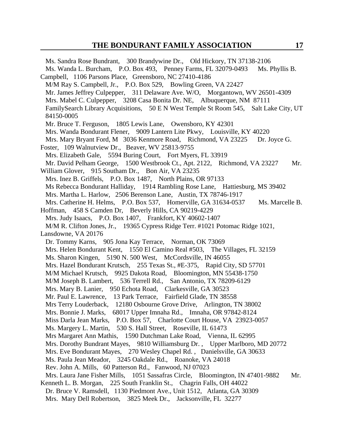Ms. Sandra Rose Bundrant, 300 Brandywine Dr., Old Hickory, TN 37138-2106 Ms. Wanda L. Burcham, P.O. Box 493, Penney Farms, FL 32079-0493 Ms. Phyllis B. Campbell, 1106 Parsons Place, Greensboro, NC 27410-4186 M/M Ray S. Campbell, Jr., P.O. Box 529, Bowling Green, VA 22427 Mr. James Jeffrey Culpepper, 311 Delaware Ave. W/O, Morgantown, WV 26501-4309 Mrs. Mabel C. Culpepper, 3208 Casa Bonita Dr. NE, Albuquerque, NM 87111 FamilySearch Library Acquisitions, 50 E N West Temple St Room 545, Salt Lake City, UT 84150-0005 Mr. Bruce T. Ferguson, 1805 Lewis Lane, Owensboro, KY 42301 Mrs. Wanda Bondurant Flener, 9009 Lantern Lite Pkwy, Louisville, KY 40220 Mrs. Mary Bryant Ford, M 3036 Kenmore Road, Richmond, VA 23225 Dr. Joyce G. Foster, 109 Walnutview Dr., Beaver, WV 25813-9755 Mrs. Elizabeth Gale, 5594 Buring Court, Fort Myers, FL 33919 Mr. David Pelham George, 1500 Westbrook Ct., Apt. 2122, Richmond, VA 23227 Mr. William Glover, 915 Southam Dr., Bon Air, VA 23235 Mrs. Inez B. Griffels, P.O. Box 1487, North Plains, OR 97133 Ms Rebecca Bondurant Halliday, 1914 Rambling Rose Lane, Hattiesburg, MS 39402 Mrs. Martha L. Harlow, 2506 Berenson Lane, Austin, TX 78746-1917 Mrs. Catherine H. Helms, P.O. Box 537, Homerville, GA 31634-0537 Ms. Marcelle B. Hoffman, 458 S Camden Dr, Beverly Hills, CA 90219-4229 Mrs. Judy Isaacs, P.O. Box 1407, Frankfort, KY 40602-1407 M/M R. Clifton Jones, Jr., 19365 Cypress Ridge Terr. #1021 Potomac Ridge 1021, Lansdowne, VA 20176 Dr. Tommy Karns, 905 Jona Kay Terrace, Norman, OK 73069 Mrs. Helen Bondurant Kent, 1550 El Camino Real #503, The Villages, FL 32159 Ms. Sharon Kingen, 5190 N. 500 West, McCordsville, IN 46055 Mrs. Hazel Bondurant Krutsch, 255 Texas St., #E-375, Rapid City, SD 57701 M/M Michael Krutsch, 9925 Dakota Road, Bloomington, MN 55438-1750 M/M Joseph B. Lambert, 536 Terrell Rd., San Antonio, TX 78209-6129 Mrs. Mary B. Lanier, 950 Echota Road, Clarkesville, GA 30523 Mr. Paul E. Lawrence, 13 Park Terrace, Fairfield Glade, TN 38558 Mrs Terry Louderback, 12180 Osbourne Grove Drive, Arlington, TN 38002 Mrs. Bonnie J. Marks, 68017 Upper Imnaha Rd., Imnaha, OR 97842-8124 Miss Darla Jean Marks, P.O. Box 57, Charlotte Court House, VA 23923-0057 Ms. Margery L. Martin, 530 S. Hall Street, Roseville, IL 61473 Mrs Margaret Ann Mathis, 1590 Dutchman Lake Road, Vienna, IL 62995 Mrs. Dorothy Bundrant Mayes, 9810 Williamsburg Dr. , Upper Marlboro, MD 20772 Mrs. Eve Bondurant Mayes, 270 Wesley Chapel Rd. , Danielsville, GA 30633 Ms. Paula Jean Meador, 3245 Oakdale Rd., Roanoke, VA 24018 Rev. John A. Mills, 60 Patterson Rd., Fanwood, NJ 07023 Mrs. Laura Jane Fisher Mills, 1051 Sassafras Circle, Bloomington, IN 47401-9882 Mr. Kenneth L. B. Morgan, 225 South Franklin St., Chagrin Falls, OH 44022 Dr. Bruce V. Ramsdell, 1130 Piedmont Ave., Unit 1512, Atlanta, GA 30309 Mrs. Mary Dell Robertson, 3825 Meek Dr., Jacksonville, FL 32277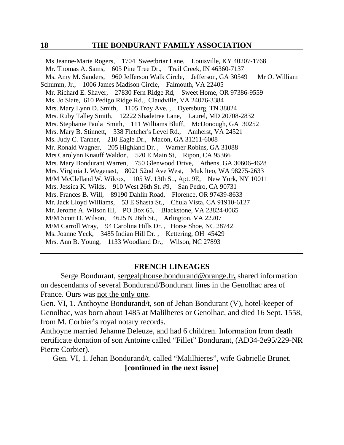Ms Jeanne-Marie Rogers, 1704 Sweetbriar Lane, Louisville, KY 40207-1768 Mr. Thomas A. Sams, 605 Pine Tree Dr., Trail Creek, IN 46360-7137 Ms. Amy M. Sanders, 960 Jefferson Walk Circle, Jefferson, GA 30549 Mr O. William Schumm, Jr., 1006 James Madison Circle, Falmouth, VA 22405 Mr. Richard E. Shaver, 27830 Fern Ridge Rd, Sweet Home, OR 97386-9559 Ms. Jo Slate, 610 Pedigo Ridge Rd., Claudville, VA 24076-3384 Mrs. Mary Lynn D. Smith, 1105 Troy Ave. , Dyersburg, TN 38024 Mrs. Ruby Talley Smith, 12222 Shadetree Lane, Laurel, MD 20708-2832 Mrs. Stephanie Paula Smith, 111 Williams Bluff, McDonough, GA 30252 Mrs. Mary B. Stinnett, 338 Fletcher's Level Rd., Amherst, VA 24521 Ms. Judy C. Tanner, 210 Eagle Dr., Macon, GA 31211-6008 Mr. Ronald Wagner, 205 Highland Dr. , Warner Robins, GA 31088 Mrs Carolynn Knauff Waldon, 520 E Main St, Ripon, CA 95366 Mrs. Mary Bondurant Warren, 750 Glenwood Drive, Athens, GA 30606-4628 Mrs. Virginia J. Wegenast, 8021 52nd Ave West, Mukilteo, WA 98275-2633 M/M McClelland W. Wilcox, 105 W. 13th St., Apt. 9E, New York, NY 10011 Mrs. Jessica K. Wilds, 910 West 26th St. #9, San Pedro, CA 90731 Mrs. Frances B. Will, 89190 Dahlin Road, Florence, OR 97439-8633 Mr. Jack Lloyd Williams, 53 E Shasta St., Chula Vista, CA 91910-6127 Mr. Jerome A. Wilson III, PO Box 65, Blackstone, VA 23824-0065 M/M Scott D. Wilson, 4625 N 26th St., Arlington, VA 22207 M/M Carroll Wray, 94 Carolina Hills Dr. , Horse Shoe, NC 28742 Ms. Joanne Yeck, 3485 Indian Hill Dr. , Kettering, OH 45429 Mrs. Ann B. Young, 1133 Woodland Dr., Wilson, NC 27893

#### **FRENCH LINEAGES**

Serge Bondurant, sergealphonse.bondurand@orange.fr**,** shared information on descendants of several Bondurand/Bondurant lines in the Genolhac area of France. Ours was not the only one.

Gen. VI, 1. Anthoyne Bondurand/t, son of Jehan Bondurant (V), hotel-keeper of Genolhac, was born about 1485 at Malilheres or Genolhac, and died 16 Sept. 1558, from M. Corbier's royal notary records.

Anthoyne married Jehanne Deleuze, and had 6 children. Information from death certificate donation of son Antoine called "Fillet" Bondurant, (AD34-2e95/229-NR Pierre Corbier).

Gen. VI, 1. Jehan Bondurand/t, called "Malilhieres", wife Gabrielle Brunet.

**[continued in the next issue]**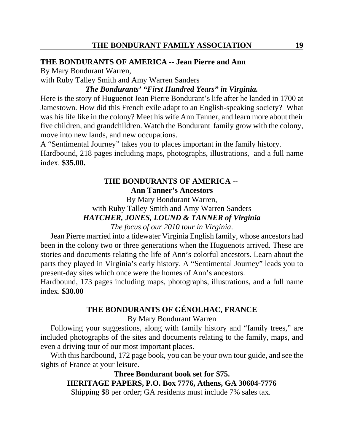#### **THE BONDURANTS OF AMERICA -- Jean Pierre and Ann**

By Mary Bondurant Warren,

with Ruby Talley Smith and Amy Warren Sanders

## *The Bondurants' "First Hundred Years" in Virginia.*

Here is the story of Huguenot Jean Pierre Bondurant's life after he landed in 1700 at Jamestown. How did this French exile adapt to an English-speaking society? What was his life like in the colony? Meet his wife Ann Tanner, and learn more about their five children, and grandchildren. Watch the Bondurant family grow with the colony, move into new lands, and new occupations.

A "Sentimental Journey" takes you to places important in the family history. Hardbound, 218 pages including maps, photographs, illustrations, and a full name index. **\$35.00.** 

## **THE BONDURANTS OF AMERICA -- Ann Tanner's Ancestors**

By Mary Bondurant Warren,

## with Ruby Talley Smith and Amy Warren Sanders *HATCHER, JONES, LOUND & TANNER of Virginia*

*The focus of our 2010 tour in Virginia*.

Jean Pierre married into a tidewater Virginia English family, whose ancestors had been in the colony two or three generations when the Huguenots arrived. These are stories and documents relating the life of Ann's colorful ancestors. Learn about the parts they played in Virginia's early history. A "Sentimental Journey" leads you to present-day sites which once were the homes of Ann's ancestors.

Hardbound, 173 pages including maps, photographs, illustrations, and a full name index. **\$30.00**

## **THE BONDURANTS OF GÉNOLHAC, FRANCE**

By Mary Bondurant Warren

Following your suggestions, along with family history and "family trees," are included photographs of the sites and documents relating to the family, maps, and even a driving tour of our most important places.

With this hardbound, 172 page book, you can be your own tour guide, and see the sights of France at your leisure.

## **Three Bondurant book set for \$75. HERITAGE PAPERS, P.O. Box 7776, Athens, GA 30604-7776**

Shipping \$8 per order; GA residents must include 7% sales tax.